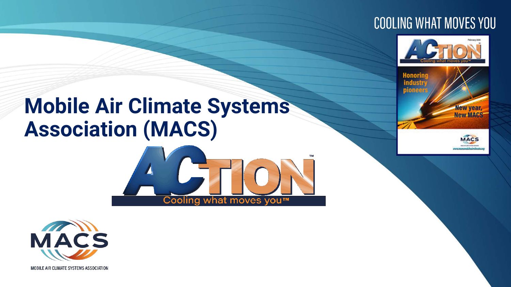#### **COOLING WHAT MOVES YOU**



### **Mobile Air Climate Systems Association (MACS)**







**MOBILE AIR CLIMATE SYSTEMS ASSOCIATION**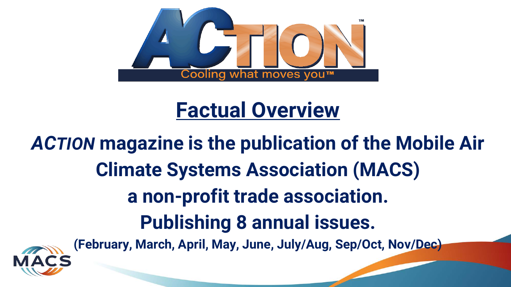

### **Factual Overview**

# *ACTION* **magazine is the publication of the Mobile Air Climate Systems Association (MACS) a non-profit trade association. Publishing 8 annual issues.**



**(February, March, April, May, June, July/Aug, Sep/Oct, Nov/Dec)**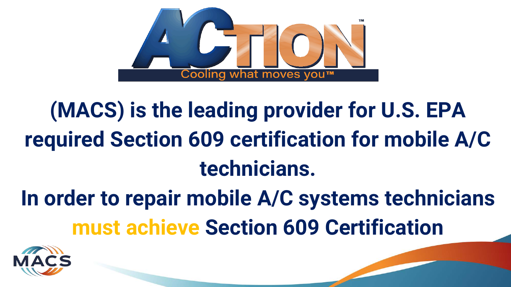

# **(MACS) is the leading provider for U.S. EPA required Section 609 certification for mobile A/C technicians.**

**In order to repair mobile A/C systems technicians must achieve Section 609 Certification**

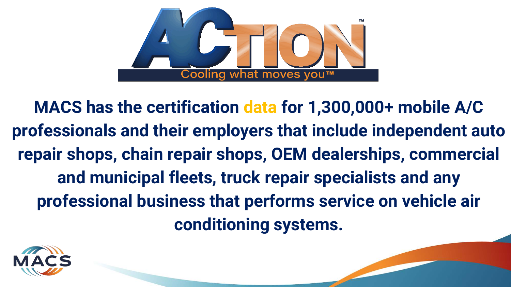

**MACS has the certification data for 1,300,000+ mobile A/C professionals and their employers that include independent auto repair shops, chain repair shops, OEM dealerships, commercial and municipal fleets, truck repair specialists and any professional business that performs service on vehicle air conditioning systems.**

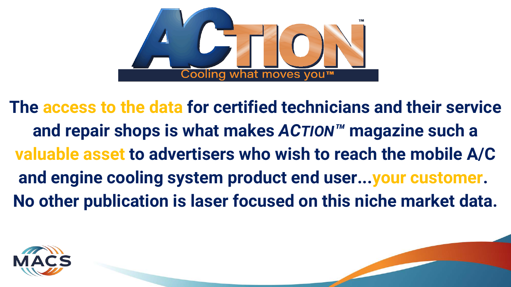

**The access to the data for certified technicians and their service and repair shops is what makes** *ACTION™* **magazine such a valuable asset to advertisers who wish to reach the mobile A/C and engine cooling system product end user...your customer. No other publication is laser focused on this niche market data.**

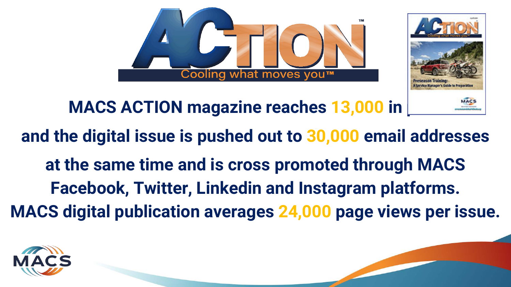



### **MACS ACTION magazine reaches 13,000 in**

### **and the digital issue is pushed out to 30,000 email addresses**

**at the same time and is cross promoted through MACS Facebook, Twitter, Linkedin and Instagram platforms. MACS digital publication averages 24,000 page views per issue.**

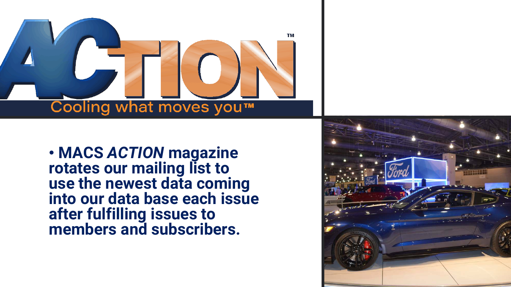

• **MACS** *ACTION* **magazine rotates our mailing list to use the newest data coming into our data base each issue after fulfilling issues to members and subscribers.** 

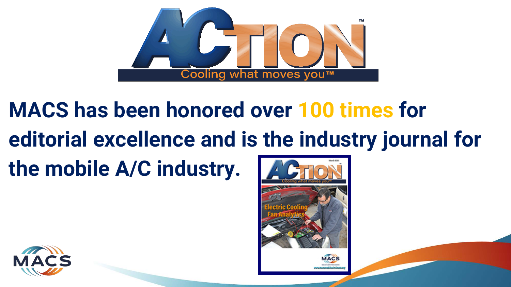

## **MACS has been honored over 100 times for editorial excellence and is the industry journal for the mobile A/C industry.**